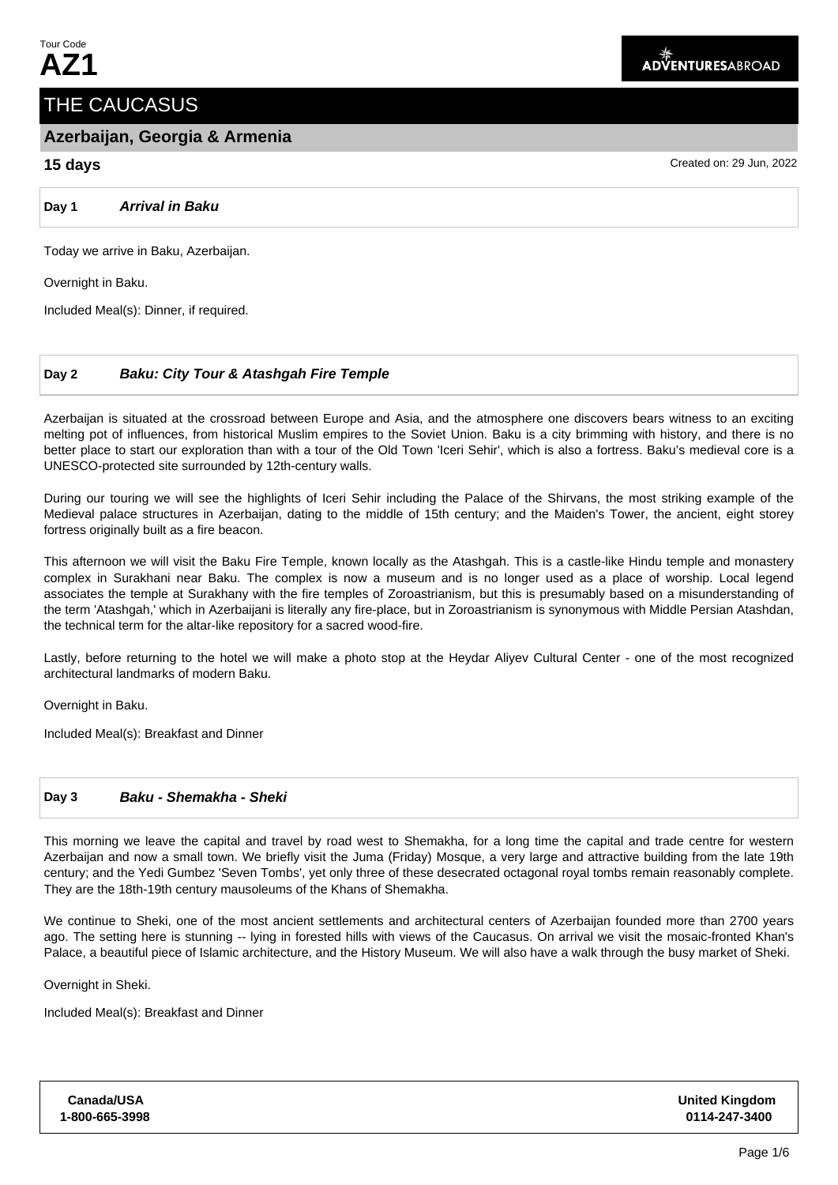# THE CAUCASUS

## **Azerbaijan, Georgia & Armenia**

## **15 days** Created on: 29 Jun, 2022

**Day 1 Arrival in Baku**

Today we arrive in Baku, Azerbaijan.

Overnight in Baku.

Included Meal(s): Dinner, if required.

## **Day 2 Baku: City Tour & Atashgah Fire Temple**

Azerbaijan is situated at the crossroad between Europe and Asia, and the atmosphere one discovers bears witness to an exciting melting pot of influences, from historical Muslim empires to the Soviet Union. Baku is a city brimming with history, and there is no better place to start our exploration than with a tour of the Old Town 'Iceri Sehir', which is also a fortress. Baku's medieval core is a UNESCO-protected site surrounded by 12th-century walls.

During our touring we will see the highlights of Iceri Sehir including the Palace of the Shirvans, the most striking example of the Medieval palace structures in Azerbaijan, dating to the middle of 15th century; and the Maiden's Tower, the ancient, eight storey fortress originally built as a fire beacon.

This afternoon we will visit the Baku Fire Temple, known locally as the Atashgah. This is a castle-like Hindu temple and monastery complex in Surakhani near Baku. The complex is now a museum and is no longer used as a place of worship. Local legend associates the temple at Surakhany with the fire temples of Zoroastrianism, but this is presumably based on a misunderstanding of the term 'Atashgah,' which in Azerbaijani is literally any fire-place, but in Zoroastrianism is synonymous with Middle Persian Atashdan, the technical term for the altar-like repository for a sacred wood-fire.

Lastly, before returning to the hotel we will make a photo stop at the Heydar Aliyev Cultural Center - one of the most recognized architectural landmarks of modern Baku.

Overnight in Baku.

Included Meal(s): Breakfast and Dinner

## **Day 3 Baku - Shemakha - Sheki**

This morning we leave the capital and travel by road west to Shemakha, for a long time the capital and trade centre for western Azerbaijan and now a small town. We briefly visit the Juma (Friday) Mosque, a very large and attractive building from the late 19th century; and the Yedi Gumbez 'Seven Tombs', yet only three of these desecrated octagonal royal tombs remain reasonably complete. They are the 18th-19th century mausoleums of the Khans of Shemakha.

We continue to Sheki, one of the most ancient settlements and architectural centers of Azerbaijan founded more than 2700 years ago. The setting here is stunning -- lying in forested hills with views of the Caucasus. On arrival we visit the mosaic-fronted Khan's Palace, a beautiful piece of Islamic architecture, and the History Museum. We will also have a walk through the busy market of Sheki.

Overnight in Sheki.

Included Meal(s): Breakfast and Dinner

| Canada/USA     |  |  |  |
|----------------|--|--|--|
| 1-800-665-3998 |  |  |  |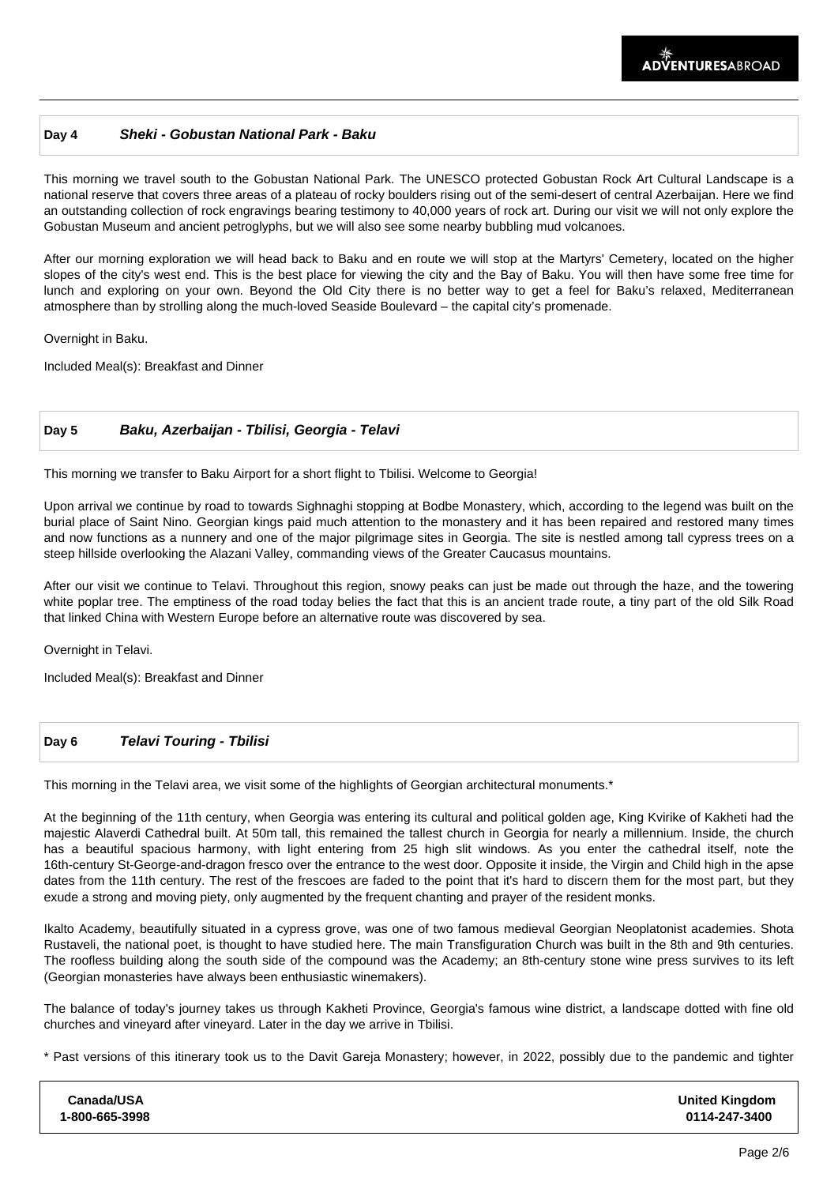## **Day 4 Sheki - Gobustan National Park - Baku**

This morning we travel south to the Gobustan National Park. The UNESCO protected Gobustan Rock Art Cultural Landscape is a national reserve that covers three areas of a plateau of rocky boulders rising out of the semi-desert of central Azerbaijan. Here we find an outstanding collection of rock engravings bearing testimony to 40,000 years of rock art. During our visit we will not only explore the Gobustan Museum and ancient petroglyphs, but we will also see some nearby bubbling mud volcanoes.

After our morning exploration we will head back to Baku and en route we will stop at the Martyrs' Cemetery, located on the higher slopes of the city's west end. This is the best place for viewing the city and the Bay of Baku. You will then have some free time for lunch and exploring on your own. Beyond the Old City there is no better way to get a feel for Baku's relaxed, Mediterranean atmosphere than by strolling along the much-loved Seaside Boulevard – the capital city's promenade.

Overnight in Baku.

Included Meal(s): Breakfast and Dinner

### **Day 5 Baku, Azerbaijan - Tbilisi, Georgia - Telavi**

This morning we transfer to Baku Airport for a short flight to Tbilisi. Welcome to Georgia!

Upon arrival we continue by road to towards Sighnaghi stopping at Bodbe Monastery, which, according to the legend was built on the burial place of Saint Nino. Georgian kings paid much attention to the monastery and it has been repaired and restored many times and now functions as a nunnery and one of the major pilgrimage sites in Georgia. The site is nestled among tall cypress trees on a steep hillside overlooking the Alazani Valley, commanding views of the Greater Caucasus mountains.

After our visit we continue to Telavi. Throughout this region, snowy peaks can just be made out through the haze, and the towering white poplar tree. The emptiness of the road today belies the fact that this is an ancient trade route, a tiny part of the old Silk Road that linked China with Western Europe before an alternative route was discovered by sea.

Overnight in Telavi.

Included Meal(s): Breakfast and Dinner

## **Day 6 Telavi Touring - Tbilisi**

This morning in the Telavi area, we visit some of the highlights of Georgian architectural monuments.\*

At the beginning of the 11th century, when Georgia was entering its cultural and political golden age, King Kvirike of Kakheti had the majestic Alaverdi Cathedral built. At 50m tall, this remained the tallest church in Georgia for nearly a millennium. Inside, the church has a beautiful spacious harmony, with light entering from 25 high slit windows. As you enter the cathedral itself, note the 16th-century St-George-and-dragon fresco over the entrance to the west door. Opposite it inside, the Virgin and Child high in the apse dates from the 11th century. The rest of the frescoes are faded to the point that it's hard to discern them for the most part, but they exude a strong and moving piety, only augmented by the frequent chanting and prayer of the resident monks.

Ikalto Academy, beautifully situated in a cypress grove, was one of two famous medieval Georgian Neoplatonist academies. Shota Rustaveli, the national poet, is thought to have studied here. The main Transfiguration Church was built in the 8th and 9th centuries. The roofless building along the south side of the compound was the Academy; an 8th-century stone wine press survives to its left (Georgian monasteries have always been enthusiastic winemakers).

The balance of today's journey takes us through Kakheti Province, Georgia's famous wine district, a landscape dotted with fine old churches and vineyard after vineyard. Later in the day we arrive in Tbilisi.

\* Past versions of this itinerary took us to the Davit Gareja Monastery; however, in 2022, possibly due to the pandemic and tighter

| Canada/USA     | <b>United Kingdom</b> |
|----------------|-----------------------|
| 1-800-665-3998 | 0114-247-3400         |
|                |                       |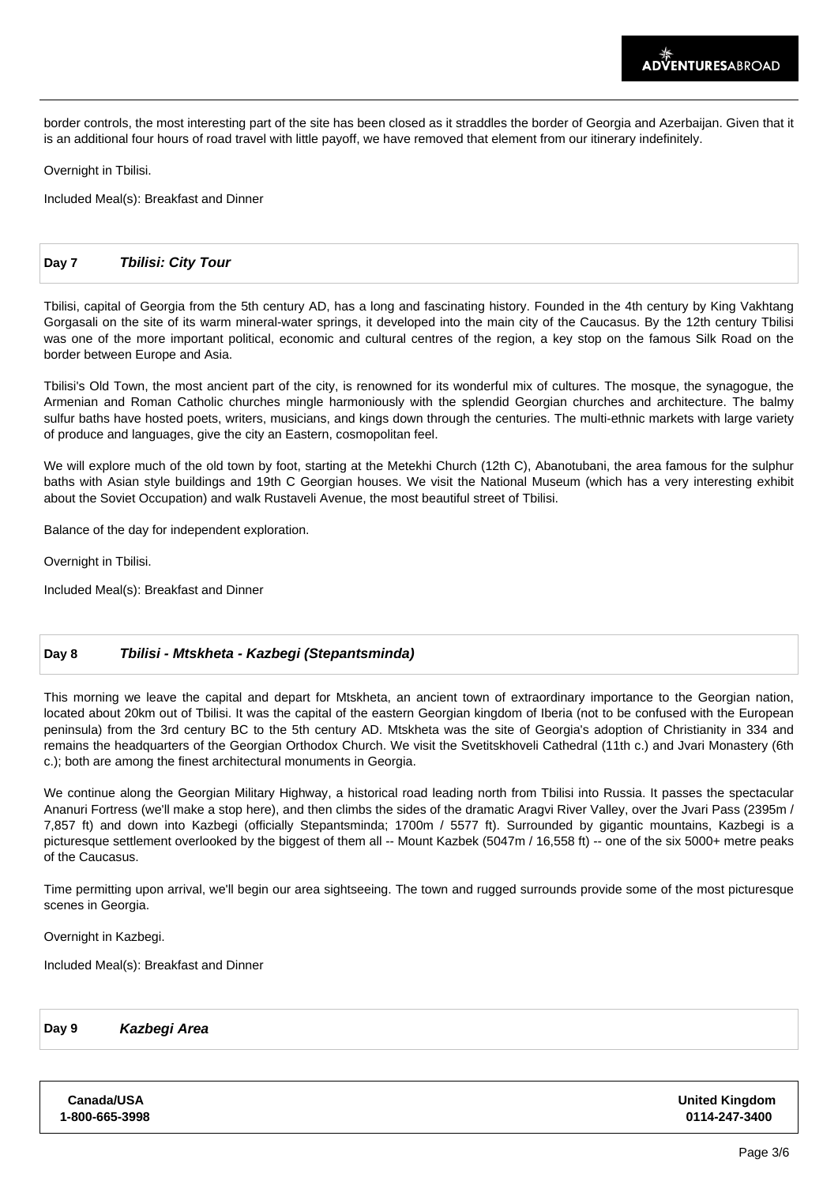border controls, the most interesting part of the site has been closed as it straddles the border of Georgia and Azerbaijan. Given that it is an additional four hours of road travel with little payoff, we have removed that element from our itinerary indefinitely.

Overnight in Tbilisi.

Included Meal(s): Breakfast and Dinner

#### **Day 7 Tbilisi: City Tour**

Tbilisi, capital of Georgia from the 5th century AD, has a long and fascinating history. Founded in the 4th century by King Vakhtang Gorgasali on the site of its warm mineral-water springs, it developed into the main city of the Caucasus. By the 12th century Tbilisi was one of the more important political, economic and cultural centres of the region, a key stop on the famous Silk Road on the border between Europe and Asia.

Tbilisi's Old Town, the most ancient part of the city, is renowned for its wonderful mix of cultures. The mosque, the synagogue, the Armenian and Roman Catholic churches mingle harmoniously with the splendid Georgian churches and architecture. The balmy sulfur baths have hosted poets, writers, musicians, and kings down through the centuries. The multi-ethnic markets with large variety of produce and languages, give the city an Eastern, cosmopolitan feel.

We will explore much of the old town by foot, starting at the Metekhi Church (12th C), Abanotubani, the area famous for the sulphur baths with Asian style buildings and 19th C Georgian houses. We visit the National Museum (which has a very interesting exhibit about the Soviet Occupation) and walk Rustaveli Avenue, the most beautiful street of Tbilisi.

Balance of the day for independent exploration.

Overnight in Tbilisi.

Included Meal(s): Breakfast and Dinner

#### **Day 8 Tbilisi - Mtskheta - Kazbegi (Stepantsminda)**

This morning we leave the capital and depart for Mtskheta, an ancient town of extraordinary importance to the Georgian nation, located about 20km out of Tbilisi. It was the capital of the eastern Georgian kingdom of Iberia (not to be confused with the European peninsula) from the 3rd century BC to the 5th century AD. Mtskheta was the site of Georgia's adoption of Christianity in 334 and remains the headquarters of the Georgian Orthodox Church. We visit the Svetitskhoveli Cathedral (11th c.) and Jvari Monastery (6th c.); both are among the finest architectural monuments in Georgia.

We continue along the Georgian Military Highway, a historical road leading north from Tbilisi into Russia. It passes the spectacular Ananuri Fortress (we'll make a stop here), and then climbs the sides of the dramatic Aragvi River Valley, over the Jvari Pass (2395m / 7,857 ft) and down into Kazbegi (officially Stepantsminda; 1700m / 5577 ft). Surrounded by gigantic mountains, Kazbegi is a picturesque settlement overlooked by the biggest of them all -- Mount Kazbek (5047m / 16,558 ft) -- one of the six 5000+ metre peaks of the Caucasus.

Time permitting upon arrival, we'll begin our area sightseeing. The town and rugged surrounds provide some of the most picturesque scenes in Georgia.

Overnight in Kazbegi.

Included Meal(s): Breakfast and Dinner

**Day 9 Kazbegi Area**

**Canada/USA 1-800-665-3998** **United Kingdom 0114-247-3400**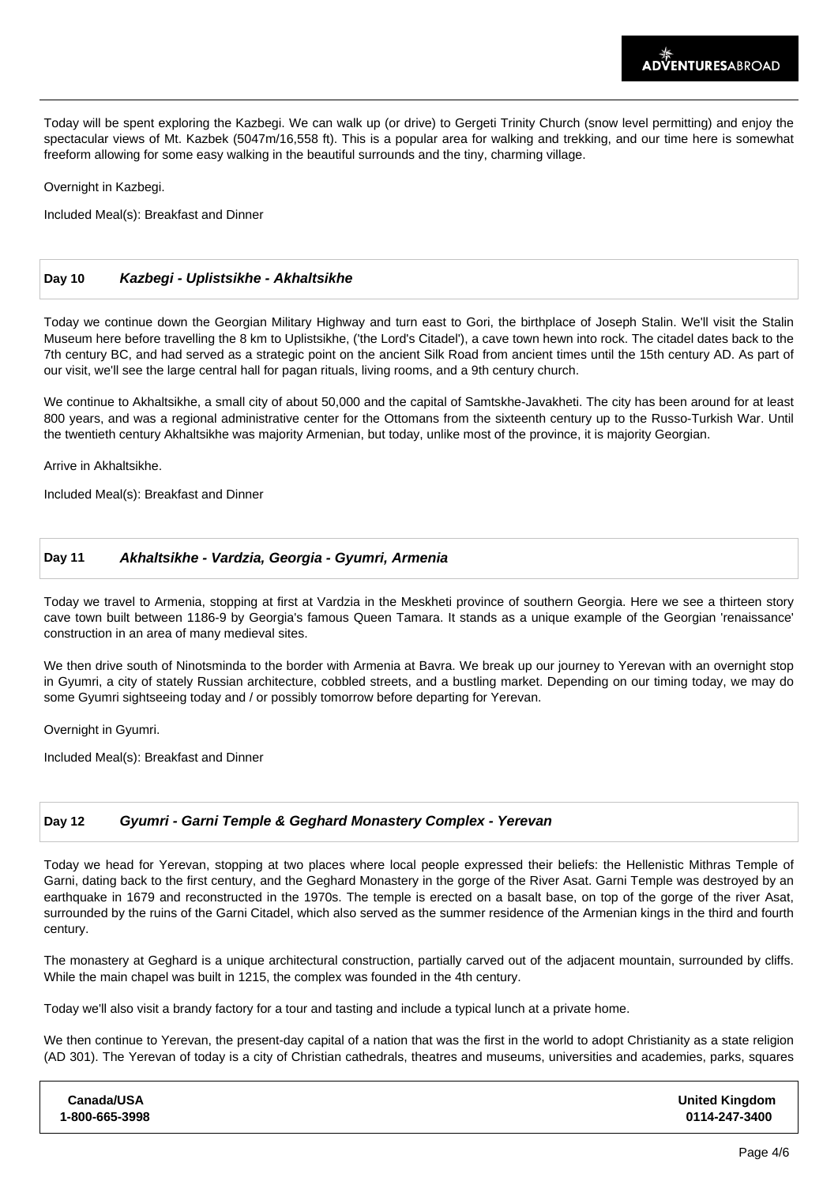Today will be spent exploring the Kazbegi. We can walk up (or drive) to Gergeti Trinity Church (snow level permitting) and enjoy the spectacular views of Mt. Kazbek (5047m/16,558 ft). This is a popular area for walking and trekking, and our time here is somewhat freeform allowing for some easy walking in the beautiful surrounds and the tiny, charming village.

Overnight in Kazbegi.

Included Meal(s): Breakfast and Dinner

## **Day 10 Kazbegi - Uplistsikhe - Akhaltsikhe**

Today we continue down the Georgian Military Highway and turn east to Gori, the birthplace of Joseph Stalin. We'll visit the Stalin Museum here before travelling the 8 km to Uplistsikhe, ('the Lord's Citadel'), a cave town hewn into rock. The citadel dates back to the 7th century BC, and had served as a strategic point on the ancient Silk Road from ancient times until the 15th century AD. As part of our visit, we'll see the large central hall for pagan rituals, living rooms, and a 9th century church.

We continue to Akhaltsikhe, a small city of about 50,000 and the capital of Samtskhe-Javakheti. The city has been around for at least 800 years, and was a regional administrative center for the Ottomans from the sixteenth century up to the Russo-Turkish War. Until the twentieth century Akhaltsikhe was majority Armenian, but today, unlike most of the province, it is majority Georgian.

Arrive in Akhaltsikhe.

Included Meal(s): Breakfast and Dinner

## **Day 11 Akhaltsikhe - Vardzia, Georgia - Gyumri, Armenia**

Today we travel to Armenia, stopping at first at Vardzia in the Meskheti province of southern Georgia. Here we see a thirteen story cave town built between 1186-9 by Georgia's famous Queen Tamara. It stands as a unique example of the Georgian 'renaissance' construction in an area of many medieval sites.

We then drive south of Ninotsminda to the border with Armenia at Bavra. We break up our journey to Yerevan with an overnight stop in Gyumri, a city of stately Russian architecture, cobbled streets, and a bustling market. Depending on our timing today, we may do some Gyumri sightseeing today and / or possibly tomorrow before departing for Yerevan.

Overnight in Gyumri.

Included Meal(s): Breakfast and Dinner

## **Day 12 Gyumri - Garni Temple & Geghard Monastery Complex - Yerevan**

Today we head for Yerevan, stopping at two places where local people expressed their beliefs: the Hellenistic Mithras Temple of Garni, dating back to the first century, and the Geghard Monastery in the gorge of the River Asat. Garni Temple was destroyed by an earthquake in 1679 and reconstructed in the 1970s. The temple is erected on a basalt base, on top of the gorge of the river Asat, surrounded by the ruins of the Garni Citadel, which also served as the summer residence of the Armenian kings in the third and fourth century.

The monastery at Geghard is a unique architectural construction, partially carved out of the adjacent mountain, surrounded by cliffs. While the main chapel was built in 1215, the complex was founded in the 4th century.

Today we'll also visit a brandy factory for a tour and tasting and include a typical lunch at a private home.

We then continue to Yerevan, the present-day capital of a nation that was the first in the world to adopt Christianity as a state religion (AD 301). The Yerevan of today is a city of Christian cathedrals, theatres and museums, universities and academies, parks, squares

| Canada/USA     | <b>United Kingdom</b> |
|----------------|-----------------------|
| 1-800-665-3998 | 0114-247-3400         |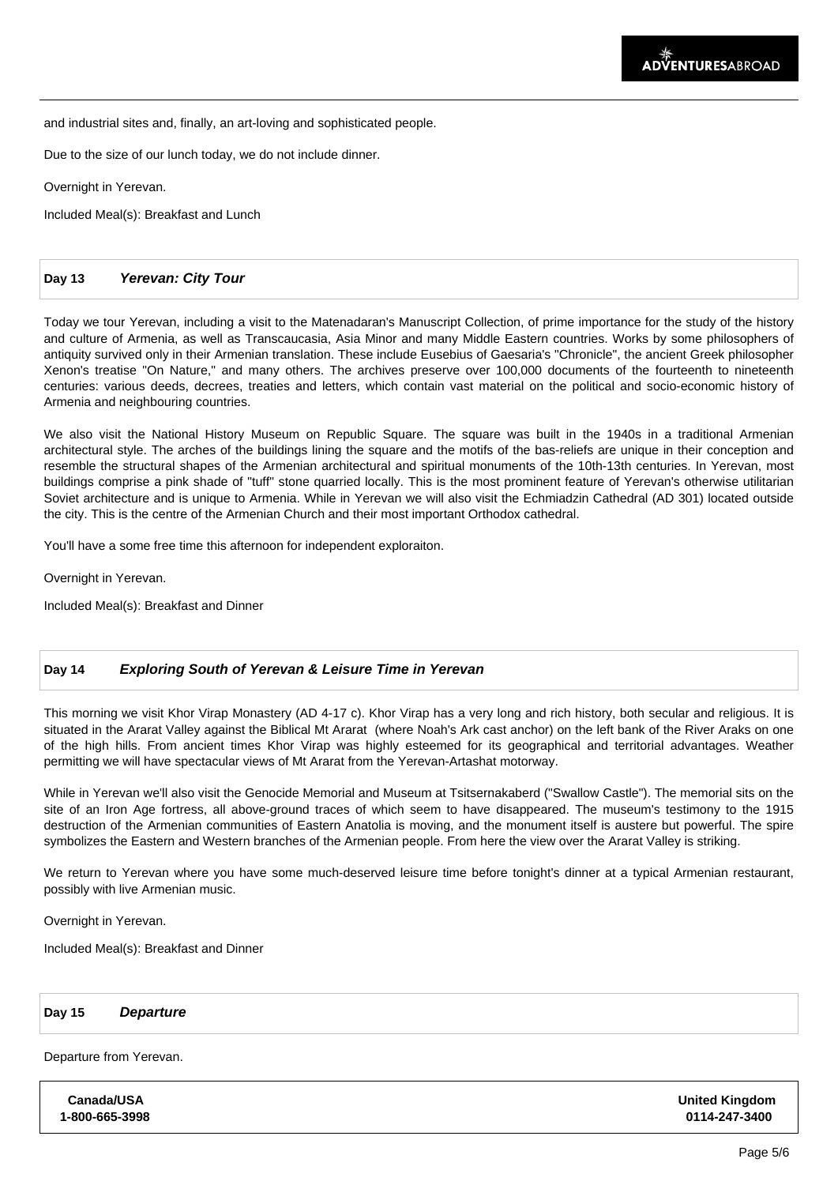and industrial sites and, finally, an art-loving and sophisticated people.

Due to the size of our lunch today, we do not include dinner.

Overnight in Yerevan.

Included Meal(s): Breakfast and Lunch

### **Day 13 Yerevan: City Tour**

Today we tour Yerevan, including a visit to the Matenadaran's Manuscript Collection, of prime importance for the study of the history and culture of Armenia, as well as Transcaucasia, Asia Minor and many Middle Eastern countries. Works by some philosophers of antiquity survived only in their Armenian translation. These include Eusebius of Gaesaria's "Chronicle", the ancient Greek philosopher Xenon's treatise "On Nature," and many others. The archives preserve over 100,000 documents of the fourteenth to nineteenth centuries: various deeds, decrees, treaties and letters, which contain vast material on the political and socio-economic history of Armenia and neighbouring countries.

We also visit the National History Museum on Republic Square. The square was built in the 1940s in a traditional Armenian architectural style. The arches of the buildings lining the square and the motifs of the bas-reliefs are unique in their conception and resemble the structural shapes of the Armenian architectural and spiritual monuments of the 10th-13th centuries. In Yerevan, most buildings comprise a pink shade of "tuff" stone quarried locally. This is the most prominent feature of Yerevan's otherwise utilitarian Soviet architecture and is unique to Armenia. While in Yerevan we will also visit the Echmiadzin Cathedral (AD 301) located outside the city. This is the centre of the Armenian Church and their most important Orthodox cathedral.

You'll have a some free time this afternoon for independent exploraiton.

Overnight in Yerevan.

Included Meal(s): Breakfast and Dinner

## **Day 14 Exploring South of Yerevan & Leisure Time in Yerevan**

This morning we visit Khor Virap Monastery (AD 4-17 c). Khor Virap has a very long and rich history, both secular and religious. It is situated in the Ararat Valley against the Biblical Mt Ararat (where Noah's Ark cast anchor) on the left bank of the River Araks on one of the high hills. From ancient times Khor Virap was highly esteemed for its geographical and territorial advantages. Weather permitting we will have spectacular views of Mt Ararat from the Yerevan-Artashat motorway.

While in Yerevan we'll also visit the Genocide Memorial and Museum at Tsitsernakaberd ("Swallow Castle"). The memorial sits on the site of an Iron Age fortress, all above-ground traces of which seem to have disappeared. The museum's testimony to the 1915 destruction of the Armenian communities of Eastern Anatolia is moving, and the monument itself is austere but powerful. The spire symbolizes the Eastern and Western branches of the Armenian people. From here the view over the Ararat Valley is striking.

We return to Yerevan where you have some much-deserved leisure time before tonight's dinner at a typical Armenian restaurant, possibly with live Armenian music.

Overnight in Yerevan.

Included Meal(s): Breakfast and Dinner

#### **Day 15 Departure**

Departure from Yerevan.

**Canada/USA 1-800-665-3998** **United Kingdom 0114-247-3400**